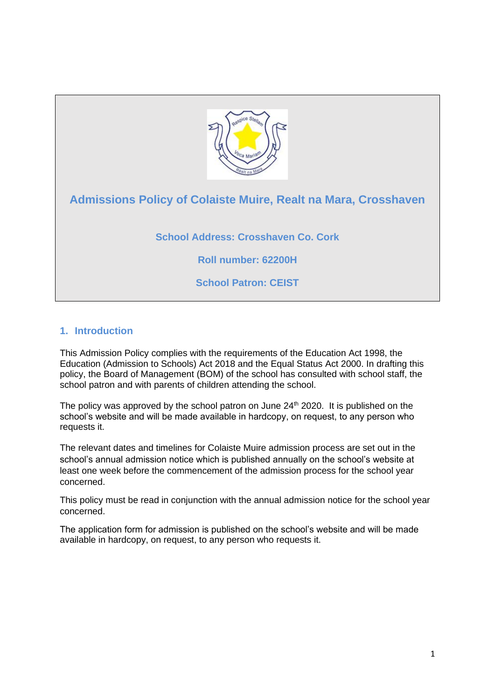

# **Admissions Policy of Colaiste Muire, Realt na Mara, Crosshaven**

**School Address: Crosshaven Co. Cork**

**Roll number: 62200H**

**School Patron: CEIST**

# **1. Introduction**

This Admission Policy complies with the requirements of the Education Act 1998, the Education (Admission to Schools) Act 2018 and the Equal Status Act 2000. In drafting this policy, the Board of Management (BOM) of the school has consulted with school staff, the school patron and with parents of children attending the school.

The policy was approved by the school patron on June  $24<sup>th</sup>$  2020. It is published on the school's website and will be made available in hardcopy, on request, to any person who requests it.

The relevant dates and timelines for Colaiste Muire admission process are set out in the school's annual admission notice which is published annually on the school's website at least one week before the commencement of the admission process for the school year concerned.

This policy must be read in conjunction with the annual admission notice for the school year concerned.

The application form for admission is published on the school's website and will be made available in hardcopy, on request, to any person who requests it.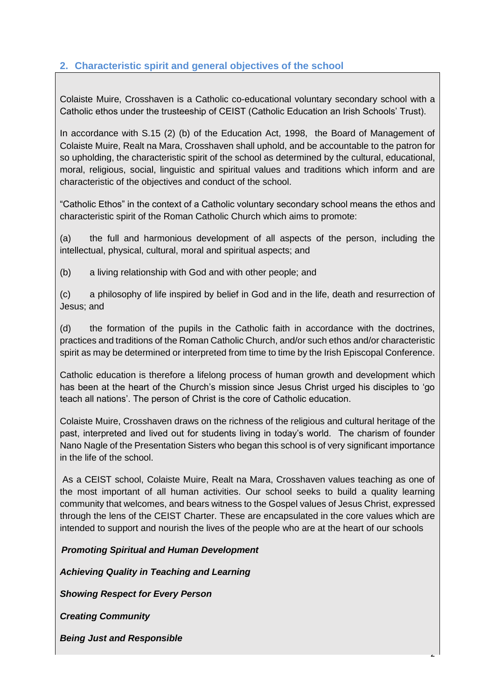# **2. Characteristic spirit and general objectives of the school**

Colaiste Muire, Crosshaven is a Catholic co-educational voluntary secondary school with a Catholic ethos under the trusteeship of CEIST (Catholic Education an Irish Schools' Trust).

In accordance with S.15 (2) (b) of the Education Act, 1998, the Board of Management of Colaiste Muire, Realt na Mara, Crosshaven shall uphold, and be accountable to the patron for so upholding, the characteristic spirit of the school as determined by the cultural, educational, moral, religious, social, linguistic and spiritual values and traditions which inform and are characteristic of the objectives and conduct of the school.

"Catholic Ethos" in the context of a Catholic voluntary secondary school means the ethos and characteristic spirit of the Roman Catholic Church which aims to promote:

(a) the full and harmonious development of all aspects of the person, including the intellectual, physical, cultural, moral and spiritual aspects; and

(b) a living relationship with God and with other people; and

(c) a philosophy of life inspired by belief in God and in the life, death and resurrection of Jesus; and

(d) the formation of the pupils in the Catholic faith in accordance with the doctrines, practices and traditions of the Roman Catholic Church, and/or such ethos and/or characteristic spirit as may be determined or interpreted from time to time by the Irish Episcopal Conference.

Catholic education is therefore a lifelong process of human growth and development which has been at the heart of the Church's mission since Jesus Christ urged his disciples to 'go teach all nations'. The person of Christ is the core of Catholic education.

Colaiste Muire, Crosshaven draws on the richness of the religious and cultural heritage of the past, interpreted and lived out for students living in today's world. The charism of founder Nano Nagle of the Presentation Sisters who began this school is of very significant importance in the life of the school.

As a CEIST school, Colaiste Muire, Realt na Mara, Crosshaven values teaching as one of the most important of all human activities. Our school seeks to build a quality learning community that welcomes, and bears witness to the Gospel values of Jesus Christ, expressed through the lens of the CEIST Charter. These are encapsulated in the core values which are intended to support and nourish the lives of the people who are at the heart of our schools

2

*Promoting Spiritual and Human Development*

*Achieving Quality in Teaching and Learning*

*Showing Respect for Every Person*

*Creating Community*

*Being Just and Responsible*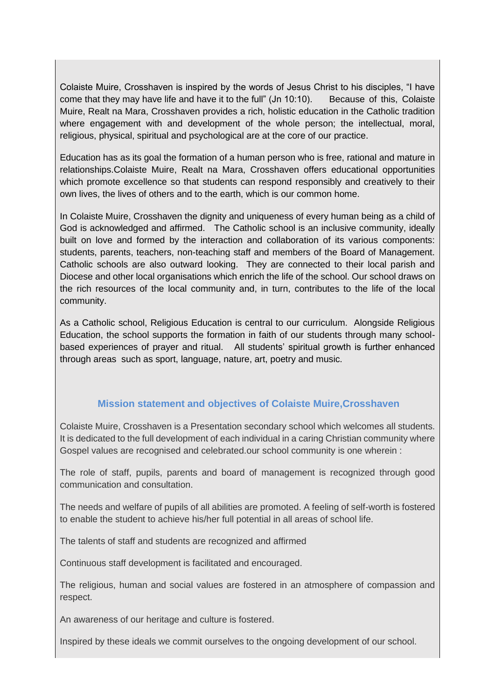Colaiste Muire, Crosshaven is inspired by the words of Jesus Christ to his disciples, "I have come that they may have life and have it to the full" (Jn 10:10). Because of this, Colaiste Muire, Realt na Mara, Crosshaven provides a rich, holistic education in the Catholic tradition where engagement with and development of the whole person; the intellectual, moral, religious, physical, spiritual and psychological are at the core of our practice.

Education has as its goal the formation of a human person who is free, rational and mature in relationships.Colaiste Muire, Realt na Mara, Crosshaven offers educational opportunities which promote excellence so that students can respond responsibly and creatively to their own lives, the lives of others and to the earth, which is our common home.

In Colaiste Muire, Crosshaven the dignity and uniqueness of every human being as a child of God is acknowledged and affirmed. The Catholic school is an inclusive community, ideally built on love and formed by the interaction and collaboration of its various components: students, parents, teachers, non-teaching staff and members of the Board of Management. Catholic schools are also outward looking. They are connected to their local parish and Diocese and other local organisations which enrich the life of the school. Our school draws on the rich resources of the local community and, in turn, contributes to the life of the local community.

As a Catholic school, Religious Education is central to our curriculum. Alongside Religious Education, the school supports the formation in faith of our students through many schoolbased experiences of prayer and ritual. All students' spiritual growth is further enhanced through areas such as sport, language, nature, art, poetry and music.

# **Mission statement and objectives of Colaiste Muire,Crosshaven**

Colaiste Muire, Crosshaven is a Presentation secondary school which welcomes all students. It is dedicated to the full development of each individual in a caring Christian community where Gospel values are recognised and celebrated.our school community is one wherein :

The role of staff, pupils, parents and board of management is recognized through good communication and consultation.

The needs and welfare of pupils of all abilities are promoted. A feeling of self-worth is fostered to enable the student to achieve his/her full potential in all areas of school life.

The talents of staff and students are recognized and affirmed

Continuous staff development is facilitated and encouraged.

The religious, human and social values are fostered in an atmosphere of compassion and respect.

An awareness of our heritage and culture is fostered.

Inspired by these ideals we commit ourselves to the ongoing development of our school.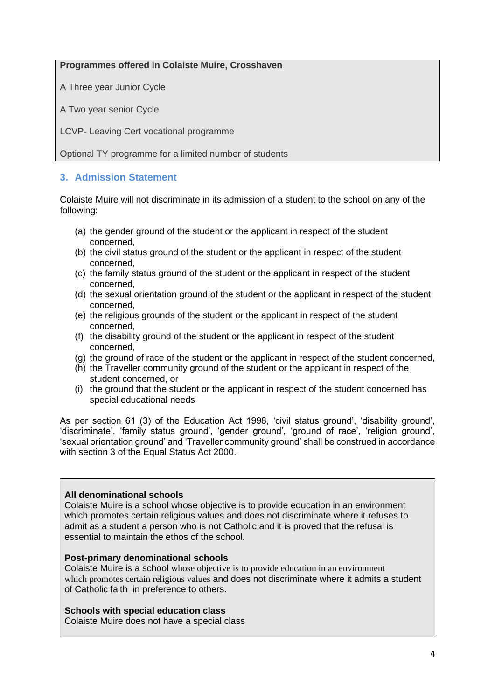## **Programmes offered in Colaiste Muire, Crosshaven**

A Three year Junior Cycle

A Two year senior Cycle

LCVP- Leaving Cert vocational programme

Optional TY programme for a limited number of students

# **3. Admission Statement**

Colaiste Muire will not discriminate in its admission of a student to the school on any of the following:

- (a) the gender ground of the student or the applicant in respect of the student concerned,
- (b) the civil status ground of the student or the applicant in respect of the student concerned,
- (c) the family status ground of the student or the applicant in respect of the student concerned,
- (d) the sexual orientation ground of the student or the applicant in respect of the student concerned,
- (e) the religious grounds of the student or the applicant in respect of the student concerned,
- (f) the disability ground of the student or the applicant in respect of the student concerned,
- (g) the ground of race of the student or the applicant in respect of the student concerned,
- (h) the Traveller community ground of the student or the applicant in respect of the student concerned, or
- (i) the ground that the student or the applicant in respect of the student concerned has special educational needs

As per section 61 (3) of the Education Act 1998, 'civil status ground', 'disability ground', 'discriminate', 'family status ground', 'gender ground', 'ground of race', 'religion ground', 'sexual orientation ground' and 'Traveller community ground' shall be construed in accordance with section 3 of the Equal Status Act 2000.

#### **All denominational schools**

Colaiste Muire is a school whose objective is to provide education in an environment which promotes certain religious values and does not discriminate where it refuses to admit as a student a person who is not Catholic and it is proved that the refusal is essential to maintain the ethos of the school.

#### **Post-primary denominational schools**

Colaiste Muire is a school whose objective is to provide education in an environment which promotes certain religious values and does not discriminate where it admits a student of Catholic faith in preference to others.

#### **Schools with special education class**

Colaiste Muire does not have a special class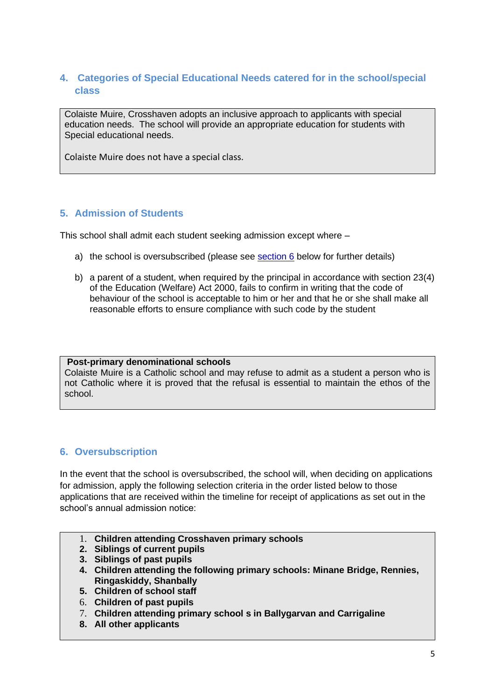# **4. Categories of Special Educational Needs catered for in the school/special class**

Colaiste Muire, Crosshaven adopts an inclusive approach to applicants with special education needs. The school will provide an appropriate education for students with Special educational needs.

Colaiste Muire does not have a special class.

# **5. Admission of Students**

This school shall admit each student seeking admission except where –

- a) the school is oversubscribed (please see section  $6$  below for further details)
- b) a parent of a student, when required by the principal in accordance with section 23(4) of the Education (Welfare) Act 2000, fails to confirm in writing that the code of behaviour of the school is acceptable to him or her and that he or she shall make all reasonable efforts to ensure compliance with such code by the student

#### **Post-primary denominational schools**

Colaiste Muire is a Catholic school and may refuse to admit as a student a person who is not Catholic where it is proved that the refusal is essential to maintain the ethos of the school.

# <span id="page-4-0"></span>**6. Oversubscription**

In the event that the school is oversubscribed, the school will, when deciding on applications for admission, apply the following selection criteria in the order listed below to those applications that are received within the timeline for receipt of applications as set out in the school's annual admission notice:

- 1. **Children attending Crosshaven primary schools**
- **2. Siblings of current pupils**
- **3. Siblings of past pupils**
- **4. Children attending the following primary schools: Minane Bridge, Rennies, Ringaskiddy, Shanbally**
- **5. Children of school staff**
- 6. **Children of past pupils**
- 7. **Children attending primary school s in Ballygarvan and Carrigaline**
- **8. All other applicants**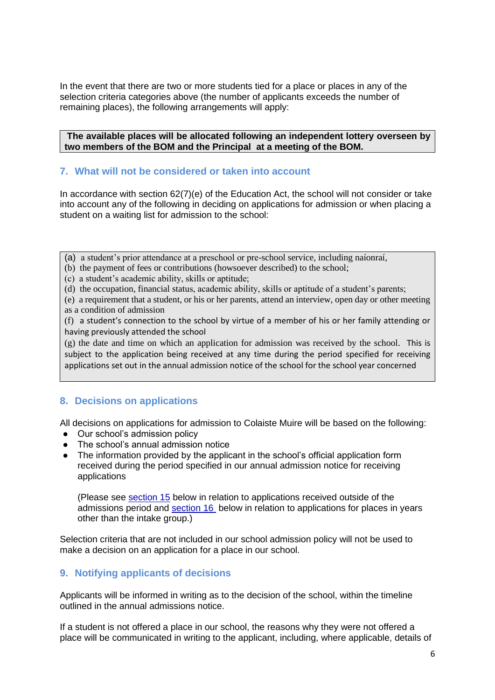In the event that there are two or more students tied for a place or places in any of the selection criteria categories above (the number of applicants exceeds the number of remaining places), the following arrangements will apply:

**The available places will be allocated following an independent lottery overseen by two members of the BOM and the Principal at a meeting of the BOM.**

#### **7. What will not be considered or taken into account**

In accordance with section 62(7)(e) of the Education Act, the school will not consider or take into account any of the following in deciding on applications for admission or when placing a student on a waiting list for admission to the school:

- (a) a student's prior attendance at a preschool or pre-school service, including naíonraí,
- (b) the payment of fees or contributions (howsoever described) to the school;
- (c) a student's academic ability, skills or aptitude;
- (d) the occupation, financial status, academic ability, skills or aptitude of a student's parents;
- (e) a requirement that a student, or his or her parents, attend an interview, open day or other meeting as a condition of admission

(f) a student's connection to the school by virtue of a member of his or her family attending or having previously attended the school

(g) the date and time on which an application for admission was received by the school. This is subject to the application being received at any time during the period specified for receiving applications set out in the annual admission notice of the school for the school year concerned

## **8. Decisions on applications**

All decisions on applications for admission to Colaiste Muire will be based on the following:

- Our school's admission policy
- The school's annual admission notice
- The information provided by the applicant in the school's official application form received during the period specified in our annual admission notice for receiving applications

(Please see [section 15](#page-8-0) below in relation to applications received outside of the admissions period and [section 16](#page-8-1) below in relation to applications for places in years other than the intake group.)

Selection criteria that are not included in our school admission policy will not be used to make a decision on an application for a place in our school.

## **9. Notifying applicants of decisions**

Applicants will be informed in writing as to the decision of the school, within the timeline outlined in the annual admissions notice.

If a student is not offered a place in our school, the reasons why they were not offered a place will be communicated in writing to the applicant, including, where applicable, details of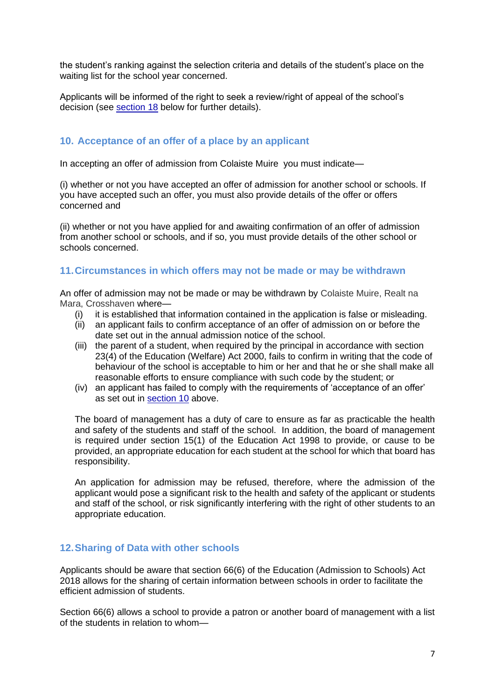the student's ranking against the selection criteria and details of the student's place on the waiting list for the school year concerned.

Applicants will be informed of the right to seek a review/right of appeal of the school's decision (see [section 18](#page-9-0) below for further details).

## <span id="page-6-0"></span>**10. Acceptance of an offer of a place by an applicant**

In accepting an offer of admission from Colaiste Muire you must indicate—

(i) whether or not you have accepted an offer of admission for another school or schools. If you have accepted such an offer, you must also provide details of the offer or offers concerned and

(ii) whether or not you have applied for and awaiting confirmation of an offer of admission from another school or schools, and if so, you must provide details of the other school or schools concerned.

## **11.Circumstances in which offers may not be made or may be withdrawn**

An offer of admission may not be made or may be withdrawn by Colaiste Muire, Realt na Mara, Crosshaven where—

- (i) it is established that information contained in the application is false or misleading.
- (ii) an applicant fails to confirm acceptance of an offer of admission on or before the date set out in the annual admission notice of the school.
- (iii) the parent of a student, when required by the principal in accordance with section 23(4) of the Education (Welfare) Act 2000, fails to confirm in writing that the code of behaviour of the school is acceptable to him or her and that he or she shall make all reasonable efforts to ensure compliance with such code by the student; or
- (iv) an applicant has failed to comply with the requirements of 'acceptance of an offer' as set out in [section 10](#page-6-0) above.

The board of management has a duty of care to ensure as far as practicable the health and safety of the students and staff of the school. In addition, the board of management is required under section 15(1) of the Education Act 1998 to provide, or cause to be provided, an appropriate education for each student at the school for which that board has responsibility.

An application for admission may be refused, therefore, where the admission of the applicant would pose a significant risk to the health and safety of the applicant or students and staff of the school, or risk significantly interfering with the right of other students to an appropriate education.

## **12.Sharing of Data with other schools**

Applicants should be aware that section 66(6) of the Education (Admission to Schools) Act 2018 allows for the sharing of certain information between schools in order to facilitate the efficient admission of students.

Section 66(6) allows a school to provide a patron or another board of management with a list of the students in relation to whom—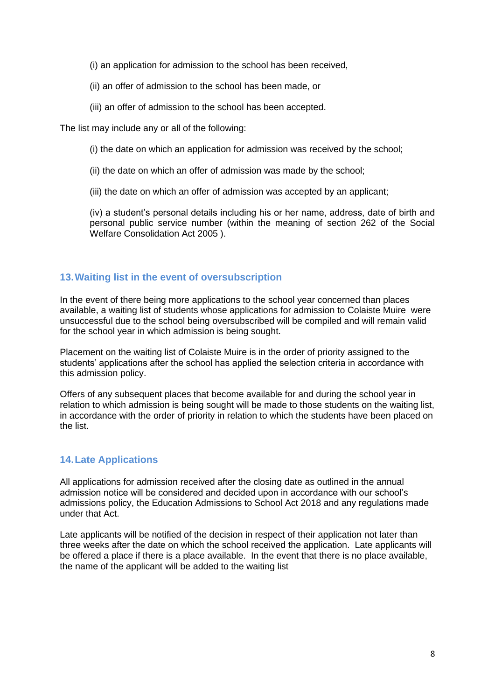- (i) an application for admission to the school has been received,
- (ii) an offer of admission to the school has been made, or
- (iii) an offer of admission to the school has been accepted.

The list may include any or all of the following:

- (i) the date on which an application for admission was received by the school;
- (ii) the date on which an offer of admission was made by the school;
- (iii) the date on which an offer of admission was accepted by an applicant;

(iv) a student's personal details including his or her name, address, date of birth and personal public service number (within the meaning of section 262 of the Social Welfare Consolidation Act 2005 ).

## **13.Waiting list in the event of oversubscription**

In the event of there being more applications to the school year concerned than places available, a waiting list of students whose applications for admission to Colaiste Muire were unsuccessful due to the school being oversubscribed will be compiled and will remain valid for the school year in which admission is being sought.

Placement on the waiting list of Colaiste Muire is in the order of priority assigned to the students' applications after the school has applied the selection criteria in accordance with this admission policy.

Offers of any subsequent places that become available for and during the school year in relation to which admission is being sought will be made to those students on the waiting list, in accordance with the order of priority in relation to which the students have been placed on the list.

## **14.Late Applications**

All applications for admission received after the closing date as outlined in the annual admission notice will be considered and decided upon in accordance with our school's admissions policy, the Education Admissions to School Act 2018 and any regulations made under that Act.

Late applicants will be notified of the decision in respect of their application not later than three weeks after the date on which the school received the application. Late applicants will be offered a place if there is a place available. In the event that there is no place available, the name of the applicant will be added to the waiting list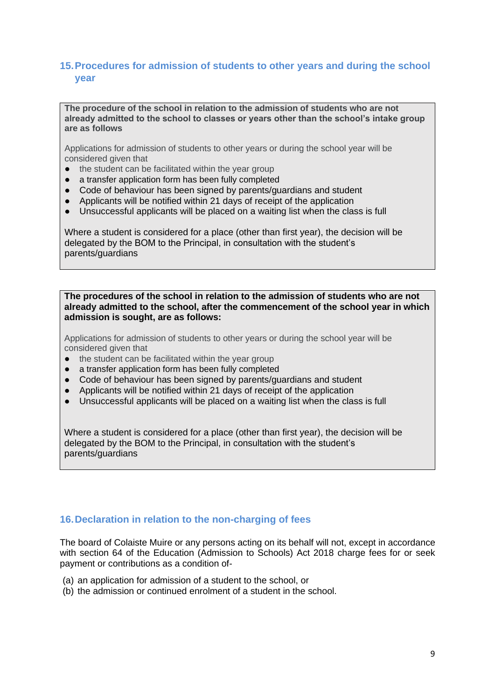# <span id="page-8-0"></span>**15.Procedures for admission of students to other years and during the school year**

**The procedure of the school in relation to the admission of students who are not already admitted to the school to classes or years other than the school's intake group are as follows**

Applications for admission of students to other years or during the school year will be considered given that

- the student can be facilitated within the year group
- a transfer application form has been fully completed
- Code of behaviour has been signed by parents/guardians and student
- Applicants will be notified within 21 days of receipt of the application
- Unsuccessful applicants will be placed on a waiting list when the class is full

Where a student is considered for a place (other than first year), the decision will be delegated by the BOM to the Principal, in consultation with the student's parents/guardians

**The procedures of the school in relation to the admission of students who are not already admitted to the school, after the commencement of the school year in which admission is sought, are as follows:**

Applications for admission of students to other years or during the school year will be considered given that

- the student can be facilitated within the year group
- a transfer application form has been fully completed
- Code of behaviour has been signed by parents/guardians and student
- Applicants will be notified within 21 days of receipt of the application
- Unsuccessful applicants will be placed on a waiting list when the class is full

Where a student is considered for a place (other than first year), the decision will be delegated by the BOM to the Principal, in consultation with the student's parents/guardians

## <span id="page-8-1"></span>**16.Declaration in relation to the non-charging of fees**

The board of Colaiste Muire or any persons acting on its behalf will not, except in accordance with section 64 of the Education (Admission to Schools) Act 2018 charge fees for or seek payment or contributions as a condition of-

- (a) an application for admission of a student to the school, or
- (b) the admission or continued enrolment of a student in the school.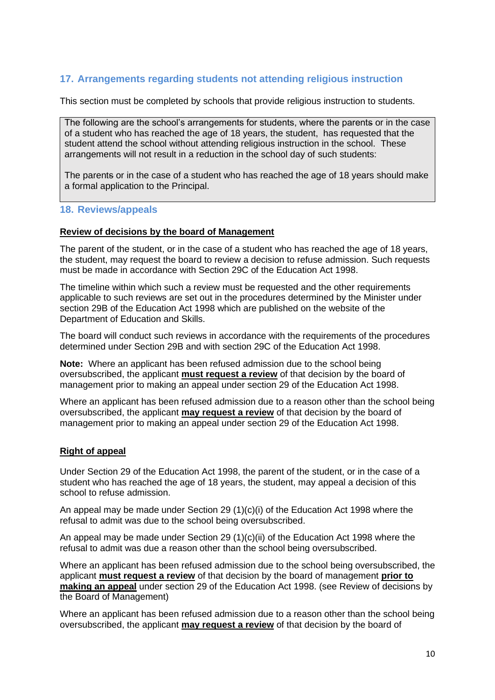# **17. Arrangements regarding students not attending religious instruction**

This section must be completed by schools that provide religious instruction to students.

The following are the school's arrangements for students, where the parents or in the case of a student who has reached the age of 18 years, the student, has requested that the student attend the school without attending religious instruction in the school. These arrangements will not result in a reduction in the school day of such students:

The parents or in the case of a student who has reached the age of 18 years should make a formal application to the Principal.

#### <span id="page-9-0"></span>**18. Reviews/appeals**

#### **Review of decisions by the board of Management**

The parent of the student, or in the case of a student who has reached the age of 18 years, the student, may request the board to review a decision to refuse admission. Such requests must be made in accordance with Section 29C of the Education Act 1998.

The timeline within which such a review must be requested and the other requirements applicable to such reviews are set out in the procedures determined by the Minister under section 29B of the Education Act 1998 which are published on the website of the Department of Education and Skills.

The board will conduct such reviews in accordance with the requirements of the procedures determined under Section 29B and with section 29C of the Education Act 1998.

**Note:** Where an applicant has been refused admission due to the school being oversubscribed, the applicant **must request a review** of that decision by the board of management prior to making an appeal under section 29 of the Education Act 1998.

Where an applicant has been refused admission due to a reason other than the school being oversubscribed, the applicant **may request a review** of that decision by the board of management prior to making an appeal under section 29 of the Education Act 1998.

#### **Right of appeal**

Under Section 29 of the Education Act 1998, the parent of the student, or in the case of a student who has reached the age of 18 years, the student, may appeal a decision of this school to refuse admission.

An appeal may be made under Section 29 (1)(c)(i) of the Education Act 1998 where the refusal to admit was due to the school being oversubscribed.

An appeal may be made under Section 29 (1)(c)(ii) of the Education Act 1998 where the refusal to admit was due a reason other than the school being oversubscribed.

Where an applicant has been refused admission due to the school being oversubscribed, the applicant **must request a review** of that decision by the board of management **prior to making an appeal** under section 29 of the Education Act 1998. (see Review of decisions by the Board of Management)

Where an applicant has been refused admission due to a reason other than the school being oversubscribed, the applicant **may request a review** of that decision by the board of